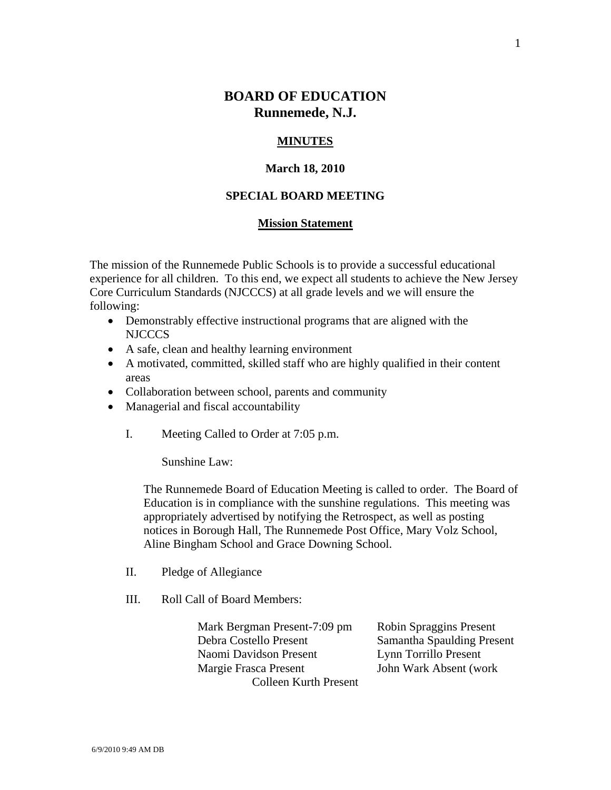# **BOARD OF EDUCATION Runnemede, N.J.**

#### **MINUTES**

#### **March 18, 2010**

### **SPECIAL BOARD MEETING**

#### **Mission Statement**

The mission of the Runnemede Public Schools is to provide a successful educational experience for all children. To this end, we expect all students to achieve the New Jersey Core Curriculum Standards (NJCCCS) at all grade levels and we will ensure the following:

- Demonstrably effective instructional programs that are aligned with the NJCCCS
- A safe, clean and healthy learning environment
- A motivated, committed, skilled staff who are highly qualified in their content areas
- Collaboration between school, parents and community
- Managerial and fiscal accountability
	- I. Meeting Called to Order at 7:05 p.m.

Sunshine Law:

The Runnemede Board of Education Meeting is called to order. The Board of Education is in compliance with the sunshine regulations. This meeting was appropriately advertised by notifying the Retrospect, as well as posting notices in Borough Hall, The Runnemede Post Office, Mary Volz School, Aline Bingham School and Grace Downing School.

- II. Pledge of Allegiance
- III. Roll Call of Board Members:

 Mark Bergman Present-7:09 pm Robin Spraggins Present Debra Costello Present Samantha Spaulding Present Naomi Davidson Present Lynn Torrillo Present Margie Frasca Present **John Wark Absent (work** Colleen Kurth Present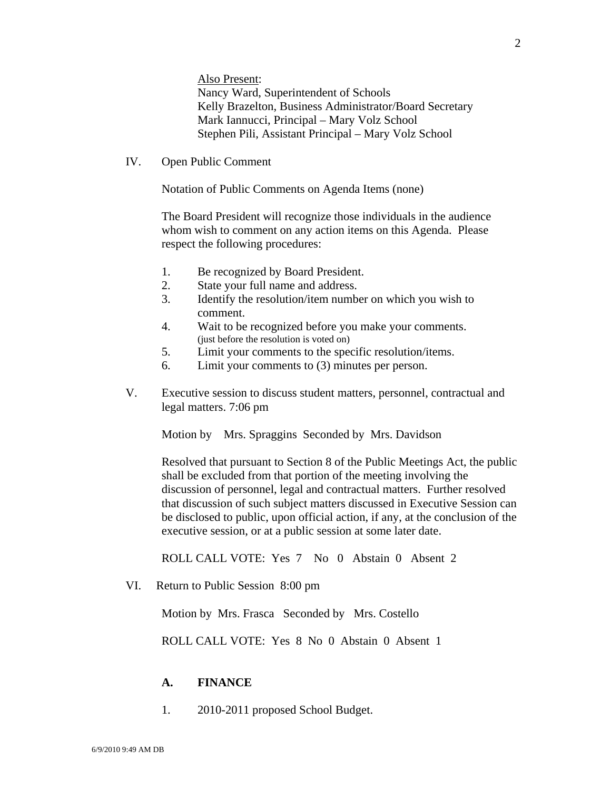Also Present: Nancy Ward, Superintendent of Schools Kelly Brazelton, Business Administrator/Board Secretary Mark Iannucci, Principal – Mary Volz School Stephen Pili, Assistant Principal – Mary Volz School

IV. Open Public Comment

Notation of Public Comments on Agenda Items (none)

The Board President will recognize those individuals in the audience whom wish to comment on any action items on this Agenda. Please respect the following procedures:

- 1. Be recognized by Board President.
- 2. State your full name and address.
- 3. Identify the resolution/item number on which you wish to comment.
- 4. Wait to be recognized before you make your comments. (just before the resolution is voted on)
- 5. Limit your comments to the specific resolution/items.
- 6. Limit your comments to (3) minutes per person.
- V. Executive session to discuss student matters, personnel, contractual and legal matters. 7:06 pm

Motion by Mrs. Spraggins Seconded by Mrs. Davidson

Resolved that pursuant to Section 8 of the Public Meetings Act, the public shall be excluded from that portion of the meeting involving the discussion of personnel, legal and contractual matters. Further resolved that discussion of such subject matters discussed in Executive Session can be disclosed to public, upon official action, if any, at the conclusion of the executive session, or at a public session at some later date.

ROLL CALL VOTE: Yes 7 No 0 Abstain 0 Absent 2

VI. Return to Public Session 8:00 pm

Motion by Mrs. Frasca Seconded by Mrs. Costello

ROLL CALL VOTE: Yes 8 No 0 Abstain 0 Absent 1

#### **A. FINANCE**

1. 2010-2011 proposed School Budget.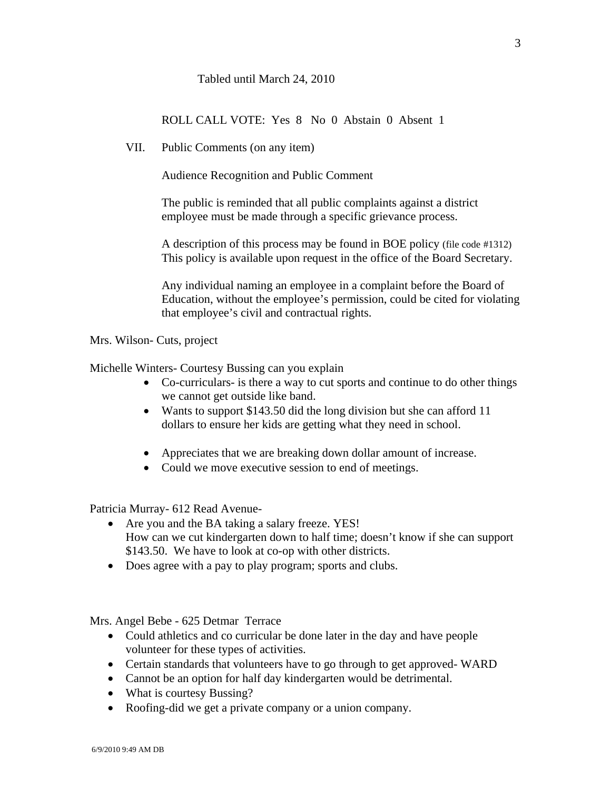## Tabled until March 24, 2010

ROLL CALL VOTE: Yes 8 No 0 Abstain 0 Absent 1

VII. Public Comments (on any item)

Audience Recognition and Public Comment

The public is reminded that all public complaints against a district employee must be made through a specific grievance process.

A description of this process may be found in BOE policy (file code #1312) This policy is available upon request in the office of the Board Secretary.

Any individual naming an employee in a complaint before the Board of Education, without the employee's permission, could be cited for violating that employee's civil and contractual rights.

Mrs. Wilson- Cuts, project

Michelle Winters- Courtesy Bussing can you explain

- Co-curriculars- is there a way to cut sports and continue to do other things we cannot get outside like band.
- Wants to support \$143.50 did the long division but she can afford 11 dollars to ensure her kids are getting what they need in school.
- Appreciates that we are breaking down dollar amount of increase.
- Could we move executive session to end of meetings.

Patricia Murray- 612 Read Avenue-

- Are you and the BA taking a salary freeze. YES! How can we cut kindergarten down to half time; doesn't know if she can support \$143.50. We have to look at co-op with other districts.
- Does agree with a pay to play program; sports and clubs.

Mrs. Angel Bebe - 625 Detmar Terrace

- Could athletics and co curricular be done later in the day and have people volunteer for these types of activities.
- Certain standards that volunteers have to go through to get approved-WARD
- Cannot be an option for half day kindergarten would be detrimental.
- What is courtesy Bussing?
- Roofing-did we get a private company or a union company.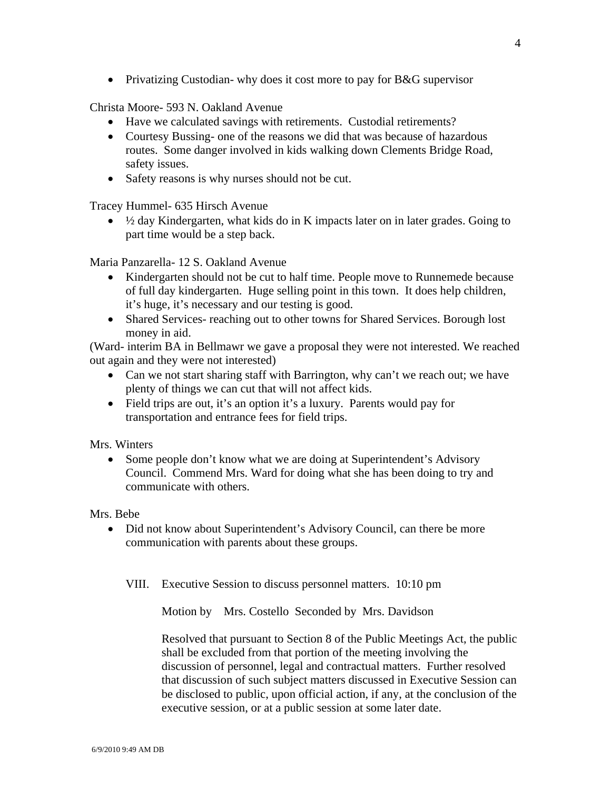• Privatizing Custodian- why does it cost more to pay for B&G supervisor

Christa Moore- 593 N. Oakland Avenue

- Have we calculated savings with retirements. Custodial retirements?
- Courtesy Bussing- one of the reasons we did that was because of hazardous routes. Some danger involved in kids walking down Clements Bridge Road, safety issues.
- Safety reasons is why nurses should not be cut.

Tracey Hummel- 635 Hirsch Avenue

 $\bullet$   $\frac{1}{2}$  day Kindergarten, what kids do in K impacts later on in later grades. Going to part time would be a step back.

Maria Panzarella- 12 S. Oakland Avenue

- Kindergarten should not be cut to half time. People move to Runnemede because of full day kindergarten. Huge selling point in this town. It does help children, it's huge, it's necessary and our testing is good.
- Shared Services- reaching out to other towns for Shared Services. Borough lost money in aid.

(Ward- interim BA in Bellmawr we gave a proposal they were not interested. We reached out again and they were not interested)

- Can we not start sharing staff with Barrington, why can't we reach out; we have plenty of things we can cut that will not affect kids.
- Field trips are out, it's an option it's a luxury. Parents would pay for transportation and entrance fees for field trips.

Mrs. Winters

• Some people don't know what we are doing at Superintendent's Advisory Council. Commend Mrs. Ward for doing what she has been doing to try and communicate with others.

Mrs. Bebe

• Did not know about Superintendent's Advisory Council, can there be more communication with parents about these groups.

VIII. Executive Session to discuss personnel matters. 10:10 pm

Motion by Mrs. Costello Seconded by Mrs. Davidson

Resolved that pursuant to Section 8 of the Public Meetings Act, the public shall be excluded from that portion of the meeting involving the discussion of personnel, legal and contractual matters. Further resolved that discussion of such subject matters discussed in Executive Session can be disclosed to public, upon official action, if any, at the conclusion of the executive session, or at a public session at some later date.